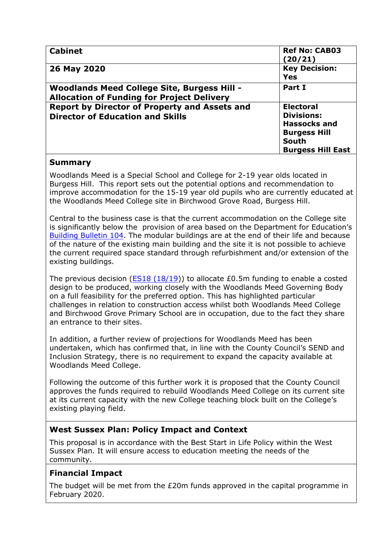| <b>Cabinet</b>                                                                                          | <b>Ref No: CAB03</b><br>(20/21)                                                                                          |
|---------------------------------------------------------------------------------------------------------|--------------------------------------------------------------------------------------------------------------------------|
| 26 May 2020                                                                                             | <b>Key Decision:</b><br><b>Yes</b>                                                                                       |
| <b>Woodlands Meed College Site, Burgess Hill -</b><br><b>Allocation of Funding for Project Delivery</b> | Part I                                                                                                                   |
| Report by Director of Property and Assets and<br><b>Director of Education and Skills</b>                | <b>Electoral</b><br><b>Divisions:</b><br><b>Hassocks and</b><br><b>Burgess Hill</b><br>South<br><b>Burgess Hill East</b> |

## **Summary**

Woodlands Meed is a Special School and College for 2-19 year olds located in Burgess Hill. This report sets out the potential options and recommendation to improve accommodation for the 15-19 year old pupils who are currently educated at the Woodlands Meed College site in Birchwood Grove Road, Burgess Hill.

Central to the business case is that the current accommodation on the College site is significantly below the provision of area based on the Department for Education's [Building Bulletin 104.](https://assets.publishing.service.gov.uk/government/uploads/system/uploads/attachment_data/file/719176/Building_Bulletin_104_Area_guidelines_for_SEND_and_alternative_provision.pdf) The modular buildings are at the end of their life and because of the nature of the existing main building and the site it is not possible to achieve the current required space standard through refurbishment and/or extension of the existing buildings.

The previous decision ( $ES18 (18/19)$ ) to allocate £0.5m funding to enable a costed design to be produced, working closely with the Woodlands Meed Governing Body on a full feasibility for the preferred option. This has highlighted particular challenges in relation to construction access whilst both Woodlands Meed College and Birchwood Grove Primary School are in occupation, due to the fact they share an entrance to their sites.

In addition, a further review of projections for Woodlands Meed has been undertaken, which has confirmed that, in line with the County Council's SEND and Inclusion Strategy, there is no requirement to expand the capacity available at Woodlands Meed College.

Following the outcome of this further work it is proposed that the County Council approves the funds required to rebuild Woodlands Meed College on its current site at its current capacity with the new College teaching block built on the College's existing playing field.

# **West Sussex Plan: Policy Impact and Context**

This proposal is in accordance with the Best Start in Life Policy within the West Sussex Plan. It will ensure access to education meeting the needs of the community.

# **Financial Impact**

The budget will be met from the £20m funds approved in the capital programme in February 2020.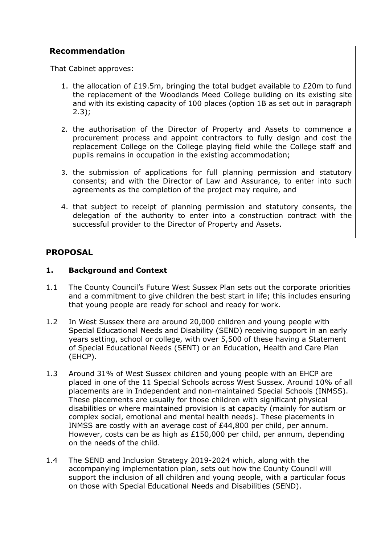### **Recommendation**

That Cabinet approves:

- 1. the allocation of £19.5m, bringing the total budget available to £20m to fund the replacement of the Woodlands Meed College building on its existing site and with its existing capacity of 100 places (option 1B as set out in paragraph  $2.3$ :
- 2. the authorisation of the Director of Property and Assets to commence a procurement process and appoint contractors to fully design and cost the replacement College on the College playing field while the College staff and pupils remains in occupation in the existing accommodation;
- 3. the submission of applications for full planning permission and statutory consents; and with the Director of Law and Assurance, to enter into such agreements as the completion of the project may require, and
- 4. that subject to receipt of planning permission and statutory consents, the delegation of the authority to enter into a construction contract with the successful provider to the Director of Property and Assets.

## **PROPOSAL**

#### **1. Background and Context**

- 1.1 The County Council's Future West Sussex Plan sets out the corporate priorities and a commitment to give children the best start in life; this includes ensuring that young people are ready for school and ready for work.
- 1.2 In West Sussex there are around 20,000 children and young people with Special Educational Needs and Disability (SEND) receiving support in an early years setting, school or college, with over 5,500 of these having a Statement of Special Educational Needs (SENT) or an Education, Health and Care Plan (EHCP).
- 1.3 Around 31% of West Sussex children and young people with an EHCP are placed in one of the 11 Special Schools across West Sussex. Around 10% of all placements are in Independent and non-maintained Special Schools (INMSS). These placements are usually for those children with significant physical disabilities or where maintained provision is at capacity (mainly for autism or complex social, emotional and mental health needs). These placements in INMSS are costly with an average cost of £44,800 per child, per annum. However, costs can be as high as £150,000 per child, per annum, depending on the needs of the child.
- 1.4 The SEND and Inclusion Strategy 2019-2024 which, along with the accompanying implementation plan, sets out how the County Council will support the inclusion of all children and young people, with a particular focus on those with Special Educational Needs and Disabilities (SEND).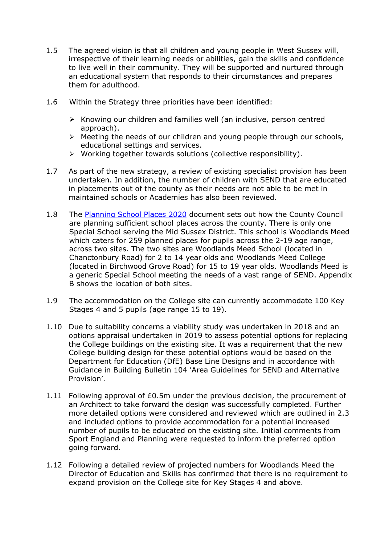- 1.5 The agreed vision is that all children and young people in West Sussex will, irrespective of their learning needs or abilities, gain the skills and confidence to live well in their community. They will be supported and nurtured through an educational system that responds to their circumstances and prepares them for adulthood.
- 1.6 Within the Strategy three priorities have been identified:
	- $\triangleright$  Knowing our children and families well (an inclusive, person centred approach).
	- ➢ Meeting the needs of our children and young people through our schools, educational settings and services.
	- ➢ Working together towards solutions (collective responsibility).
- 1.7 As part of the new strategy, a review of existing specialist provision has been undertaken. In addition, the number of children with SEND that are educated in placements out of the county as their needs are not able to be met in maintained schools or Academies has also been reviewed.
- 1.8 The [Planning School Places 2020](https://www.westsussex.gov.uk/media/12383/planning_school_places.pdf) document sets out how the County Council are planning sufficient school places across the county. There is only one Special School serving the Mid Sussex District. This school is Woodlands Meed which caters for 259 planned places for pupils across the 2-19 age range, across two sites. The two sites are Woodlands Meed School (located in Chanctonbury Road) for 2 to 14 year olds and Woodlands Meed College (located in Birchwood Grove Road) for 15 to 19 year olds. Woodlands Meed is a generic Special School meeting the needs of a vast range of SEND. Appendix B shows the location of both sites.
- 1.9 The accommodation on the College site can currently accommodate 100 Key Stages 4 and 5 pupils (age range 15 to 19).
- 1.10 Due to suitability concerns a viability study was undertaken in 2018 and an options appraisal undertaken in 2019 to assess potential options for replacing the College buildings on the existing site. It was a requirement that the new College building design for these potential options would be based on the Department for Education (DfE) Base Line Designs and in accordance with Guidance in Building Bulletin 104 'Area Guidelines for SEND and Alternative Provision'.
- 1.11 Following approval of £0.5m under the previous decision, the procurement of an Architect to take forward the design was successfully completed. Further more detailed options were considered and reviewed which are outlined in 2.3 and included options to provide accommodation for a potential increased number of pupils to be educated on the existing site. Initial comments from Sport England and Planning were requested to inform the preferred option going forward.
- 1.12 Following a detailed review of projected numbers for Woodlands Meed the Director of Education and Skills has confirmed that there is no requirement to expand provision on the College site for Key Stages 4 and above.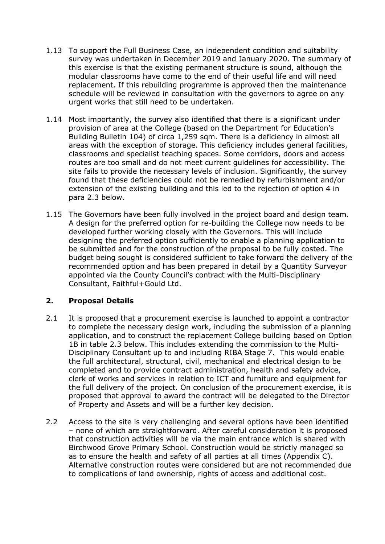- 1.13 To support the Full Business Case, an independent condition and suitability survey was undertaken in December 2019 and January 2020. The summary of this exercise is that the existing permanent structure is sound, although the modular classrooms have come to the end of their useful life and will need replacement. If this rebuilding programme is approved then the maintenance schedule will be reviewed in consultation with the governors to agree on any urgent works that still need to be undertaken.
- 1.14 Most importantly, the survey also identified that there is a significant under provision of area at the College (based on the Department for Education's Building Bulletin 104) of circa 1,259 sqm. There is a deficiency in almost all areas with the exception of storage. This deficiency includes general facilities, classrooms and specialist teaching spaces. Some corridors, doors and access routes are too small and do not meet current guidelines for accessibility. The site fails to provide the necessary levels of inclusion. Significantly, the survey found that these deficiencies could not be remedied by refurbishment and/or extension of the existing building and this led to the rejection of option 4 in para 2.3 below.
- 1.15 The Governors have been fully involved in the project board and design team. A design for the preferred option for re-building the College now needs to be developed further working closely with the Governors. This will include designing the preferred option sufficiently to enable a planning application to be submitted and for the construction of the proposal to be fully costed. The budget being sought is considered sufficient to take forward the delivery of the recommended option and has been prepared in detail by a Quantity Surveyor appointed via the County Council's contract with the Multi-Disciplinary Consultant, Faithful+Gould Ltd.

## **2. Proposal Details**

- 2.1 It is proposed that a procurement exercise is launched to appoint a contractor to complete the necessary design work, including the submission of a planning application, and to construct the replacement College building based on Option 1B in table 2.3 below. This includes extending the commission to the Multi-Disciplinary Consultant up to and including RIBA Stage 7. This would enable the full architectural, structural, civil, mechanical and electrical design to be completed and to provide contract administration, health and safety advice, clerk of works and services in relation to ICT and furniture and equipment for the full delivery of the project. On conclusion of the procurement exercise, it is proposed that approval to award the contract will be delegated to the Director of Property and Assets and will be a further key decision.
- 2.2 Access to the site is very challenging and several options have been identified – none of which are straightforward. After careful consideration it is proposed that construction activities will be via the main entrance which is shared with Birchwood Grove Primary School. Construction would be strictly managed so as to ensure the health and safety of all parties at all times (Appendix C). Alternative construction routes were considered but are not recommended due to complications of land ownership, rights of access and additional cost.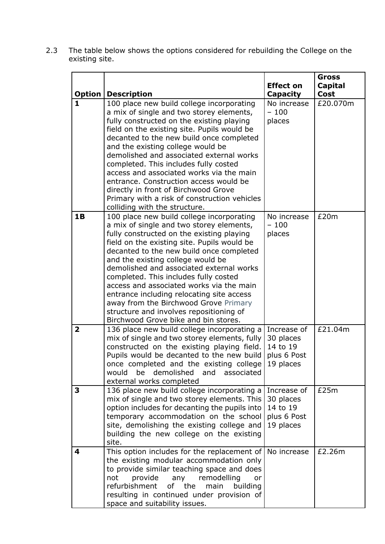2.3 The table below shows the options considered for rebuilding the College on the existing site.

|                               |                                                                                                                                                                                                                                                                                                                                                                                                                                                                                                                                                                              |                                                                  | <b>Gross</b>           |
|-------------------------------|------------------------------------------------------------------------------------------------------------------------------------------------------------------------------------------------------------------------------------------------------------------------------------------------------------------------------------------------------------------------------------------------------------------------------------------------------------------------------------------------------------------------------------------------------------------------------|------------------------------------------------------------------|------------------------|
|                               |                                                                                                                                                                                                                                                                                                                                                                                                                                                                                                                                                                              | <b>Effect on</b>                                                 | <b>Capital</b><br>Cost |
| <b>Option</b><br>$\mathbf{1}$ | <b>Description</b><br>100 place new build college incorporating                                                                                                                                                                                                                                                                                                                                                                                                                                                                                                              | <b>Capacity</b><br>No increase                                   | £20.070m               |
|                               | a mix of single and two storey elements,<br>fully constructed on the existing playing<br>field on the existing site. Pupils would be<br>decanted to the new build once completed<br>and the existing college would be<br>demolished and associated external works<br>completed. This includes fully costed<br>access and associated works via the main<br>entrance. Construction access would be<br>directly in front of Birchwood Grove                                                                                                                                     | $-100$<br>places                                                 |                        |
|                               | Primary with a risk of construction vehicles<br>colliding with the structure.                                                                                                                                                                                                                                                                                                                                                                                                                                                                                                |                                                                  |                        |
| <b>1B</b>                     | 100 place new build college incorporating<br>a mix of single and two storey elements,<br>fully constructed on the existing playing<br>field on the existing site. Pupils would be<br>decanted to the new build once completed<br>and the existing college would be<br>demolished and associated external works<br>completed. This includes fully costed<br>access and associated works via the main<br>entrance including relocating site access<br>away from the Birchwood Grove Primary<br>structure and involves repositioning of<br>Birchwood Grove bike and bin stores. | No increase<br>$-100$<br>places                                  | £20m                   |
| $\overline{2}$                | 136 place new build college incorporating a<br>mix of single and two storey elements, fully<br>constructed on the existing playing field.<br>Pupils would be decanted to the new build<br>once completed and the existing college 19 places<br>would<br>be<br>demolished and<br>associated<br>external works completed                                                                                                                                                                                                                                                       | Increase of<br>30 places<br>14 to 19<br>plus 6 Post              | £21.04m                |
| 3                             | 136 place new build college incorporating a<br>mix of single and two storey elements. This<br>option includes for decanting the pupils into<br>temporary accommodation on the school<br>site, demolishing the existing college and<br>building the new college on the existing<br>site.                                                                                                                                                                                                                                                                                      | Increase of<br>30 places<br>14 to 19<br>plus 6 Post<br>19 places | £25m                   |
| 4                             | This option includes for the replacement of<br>the existing modular accommodation only<br>to provide similar teaching space and does<br>provide<br>remodelling<br>not<br>any<br>or<br>refurbishment<br>0f<br>the<br>main<br>building<br>resulting in continued under provision of<br>space and suitability issues.                                                                                                                                                                                                                                                           | No increase                                                      | £2.26m                 |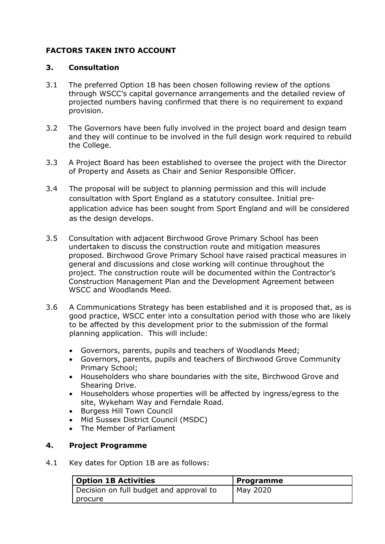## **FACTORS TAKEN INTO ACCOUNT**

### **3. Consultation**

- 3.1 The preferred Option 1B has been chosen following review of the options through WSCC's capital governance arrangements and the detailed review of projected numbers having confirmed that there is no requirement to expand provision.
- 3.2 The Governors have been fully involved in the project board and design team and they will continue to be involved in the full design work required to rebuild the College.
- 3.3 A Project Board has been established to oversee the project with the Director of Property and Assets as Chair and Senior Responsible Officer.
- 3.4 The proposal will be subject to planning permission and this will include consultation with Sport England as a statutory consultee. Initial preapplication advice has been sought from Sport England and will be considered as the design develops.
- 3.5 Consultation with adjacent Birchwood Grove Primary School has been undertaken to discuss the construction route and mitigation measures proposed. Birchwood Grove Primary School have raised practical measures in general and discussions and close working will continue throughout the project. The construction route will be documented within the Contractor's Construction Management Plan and the Development Agreement between WSCC and Woodlands Meed.
- 3.6 A Communications Strategy has been established and it is proposed that, as is good practice, WSCC enter into a consultation period with those who are likely to be affected by this development prior to the submission of the formal planning application. This will include:
	- Governors, parents, pupils and teachers of Woodlands Meed;
	- Governors, parents, pupils and teachers of Birchwood Grove Community Primary School;
	- Householders who share boundaries with the site, Birchwood Grove and Shearing Drive.
	- Householders whose properties will be affected by ingress/egress to the site, Wykeham Way and Ferndale Road.
	- Burgess Hill Town Council
	- Mid Sussex District Council (MSDC)
	- The Member of Parliament

## **4. Project Programme**

4.1 Key dates for Option 1B are as follows:

| <b>Option 1B Activities</b>             | Programme |
|-----------------------------------------|-----------|
| Decision on full budget and approval to | May 2020  |
| I procure                               |           |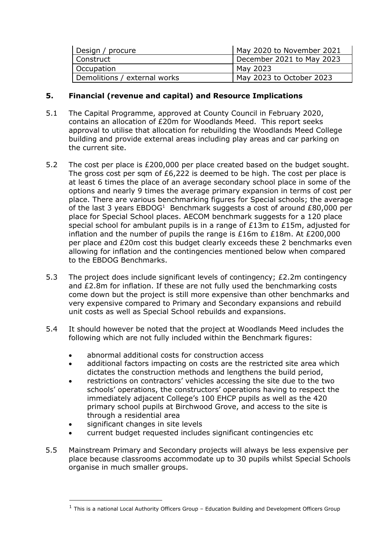| Design / procure             | May 2020 to November 2021 |
|------------------------------|---------------------------|
| l Construct                  | December 2021 to May 2023 |
| Occupation                   | May 2023                  |
| Demolitions / external works | May 2023 to October 2023  |

### **5. Financial (revenue and capital) and Resource Implications**

- 5.1 The Capital Programme, approved at County Council in February 2020, contains an allocation of £20m for Woodlands Meed. This report seeks approval to utilise that allocation for rebuilding the Woodlands Meed College building and provide external areas including play areas and car parking on the current site.
- 5.2 The cost per place is £200,000 per place created based on the budget sought. The gross cost per sam of £6,222 is deemed to be high. The cost per place is at least 6 times the place of an average secondary school place in some of the options and nearly 9 times the average primary expansion in terms of cost per place. There are various benchmarking figures for Special schools; the average of the last 3 years  $EBDOG<sup>1</sup>$  Benchmark suggests a cost of around  $£80,000$  per place for Special School places. AECOM benchmark suggests for a 120 place special school for ambulant pupils is in a range of £13m to £15m, adjusted for inflation and the number of pupils the range is  $£16m$  to  $£18m$ . At  $£200,000$ per place and £20m cost this budget clearly exceeds these 2 benchmarks even allowing for inflation and the contingencies mentioned below when compared to the EBDOG Benchmarks.
- 5.3 The project does include significant levels of contingency; £2.2m contingency and £2.8m for inflation. If these are not fully used the benchmarking costs come down but the project is still more expensive than other benchmarks and very expensive compared to Primary and Secondary expansions and rebuild unit costs as well as Special School rebuilds and expansions.
- 5.4 It should however be noted that the project at Woodlands Meed includes the following which are not fully included within the Benchmark figures:
	- abnormal additional costs for construction access
	- additional factors impacting on costs are the restricted site area which dictates the construction methods and lengthens the build period,
	- restrictions on contractors' vehicles accessing the site due to the two schools' operations, the constructors' operations having to respect the immediately adjacent College's 100 EHCP pupils as well as the 420 primary school pupils at Birchwood Grove, and access to the site is through a residential area
	- significant changes in site levels
	- current budget requested includes significant contingencies etc
- 5.5 Mainstream Primary and Secondary projects will always be less expensive per place because classrooms accommodate up to 30 pupils whilst Special Schools organise in much smaller groups.

<sup>&</sup>lt;sup>1</sup> This is a national Local Authority Officers Group - Education Building and Development Officers Group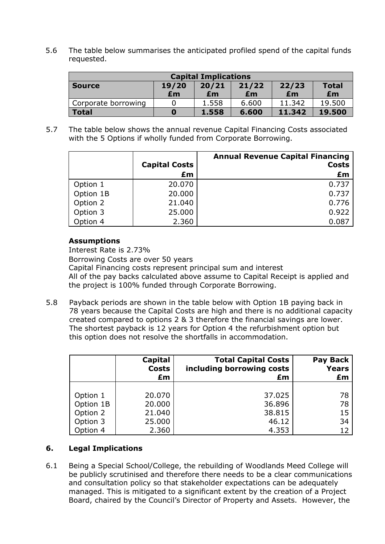5.6 The table below summarises the anticipated profiled spend of the capital funds requested.

| <b>Capital Implications</b> |       |       |       |        |              |
|-----------------------------|-------|-------|-------|--------|--------------|
| <b>Source</b>               | 19/20 | 20/21 | 21/22 | 22/23  | <b>Total</b> |
|                             | Em    | £m    | £m    | £m     | Em           |
| Corporate borrowing         |       | 1.558 | 6.600 | 11.342 | 19.500       |
| <b>Total</b>                | O     | 1.558 | 6.600 | 11.342 | 19.500       |

5.7 The table below shows the annual revenue Capital Financing Costs associated with the 5 Options if wholly funded from Corporate Borrowing.

|           |                      | <b>Annual Revenue Capital Financing</b> |
|-----------|----------------------|-----------------------------------------|
|           | <b>Capital Costs</b> | <b>Costs</b>                            |
|           | £m                   | £m                                      |
| Option 1  | 20.070               | 0.737                                   |
| Option 1B | 20.000               | 0.737                                   |
| Option 2  | 21.040               | 0.776                                   |
| Option 3  | 25.000               | 0.922                                   |
| Option 4  | 2.360                | 0.087                                   |

#### **Assumptions**

Interest Rate is 2.73%

Borrowing Costs are over 50 years

Capital Financing costs represent principal sum and interest All of the pay backs calculated above assume to Capital Receipt is applied and the project is 100% funded through Corporate Borrowing.

5.8 Payback periods are shown in the table below with Option 1B paying back in 78 years because the Capital Costs are high and there is no additional capacity created compared to options 2 & 3 therefore the financial savings are lower. The shortest payback is 12 years for Option 4 the refurbishment option but this option does not resolve the shortfalls in accommodation.

|           | Capital<br><b>Costs</b><br>£m | <b>Total Capital Costs</b><br>including borrowing costs<br>£m | <b>Pay Back</b><br><b>Years</b><br>£m |
|-----------|-------------------------------|---------------------------------------------------------------|---------------------------------------|
|           |                               |                                                               |                                       |
| Option 1  | 20.070                        | 37.025                                                        | 78                                    |
| Option 1B | 20.000                        | 36.896                                                        | 78                                    |
| Option 2  | 21.040                        | 38.815                                                        | 15                                    |
| Option 3  | 25.000                        | 46.12                                                         | 34                                    |
| Option 4  | 2.360                         | 4.353                                                         | 12                                    |

## **6. Legal Implications**

6.1 Being a Special School/College, the rebuilding of Woodlands Meed College will be publicly scrutinised and therefore there needs to be a clear communications and consultation policy so that stakeholder expectations can be adequately managed. This is mitigated to a significant extent by the creation of a Project Board, chaired by the Council's Director of Property and Assets. However, the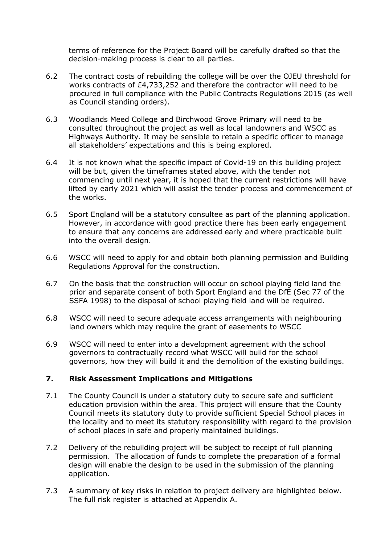terms of reference for the Project Board will be carefully drafted so that the decision-making process is clear to all parties.

- 6.2 The contract costs of rebuilding the college will be over the OJEU threshold for works contracts of £4,733,252 and therefore the contractor will need to be procured in full compliance with the Public Contracts Regulations 2015 (as well as Council standing orders).
- 6.3 Woodlands Meed College and Birchwood Grove Primary will need to be consulted throughout the project as well as local landowners and WSCC as Highways Authority. It may be sensible to retain a specific officer to manage all stakeholders' expectations and this is being explored.
- 6.4 It is not known what the specific impact of Covid-19 on this building project will be but, given the timeframes stated above, with the tender not commencing until next year, it is hoped that the current restrictions will have lifted by early 2021 which will assist the tender process and commencement of the works.
- 6.5 Sport England will be a statutory consultee as part of the planning application. However, in accordance with good practice there has been early engagement to ensure that any concerns are addressed early and where practicable built into the overall design.
- 6.6 WSCC will need to apply for and obtain both planning permission and Building Regulations Approval for the construction.
- 6.7 On the basis that the construction will occur on school playing field land the prior and separate consent of both Sport England and the DfE (Sec 77 of the SSFA 1998) to the disposal of school playing field land will be required.
- 6.8 WSCC will need to secure adequate access arrangements with neighbouring land owners which may require the grant of easements to WSCC
- 6.9 WSCC will need to enter into a development agreement with the school governors to contractually record what WSCC will build for the school governors, how they will build it and the demolition of the existing buildings.

#### **7. Risk Assessment Implications and Mitigations**

- 7.1 The County Council is under a statutory duty to secure safe and sufficient education provision within the area. This project will ensure that the County Council meets its statutory duty to provide sufficient Special School places in the locality and to meet its statutory responsibility with regard to the provision of school places in safe and properly maintained buildings.
- 7.2 Delivery of the rebuilding project will be subject to receipt of full planning permission. The allocation of funds to complete the preparation of a formal design will enable the design to be used in the submission of the planning application.
- 7.3 A summary of key risks in relation to project delivery are highlighted below. The full risk register is attached at Appendix A.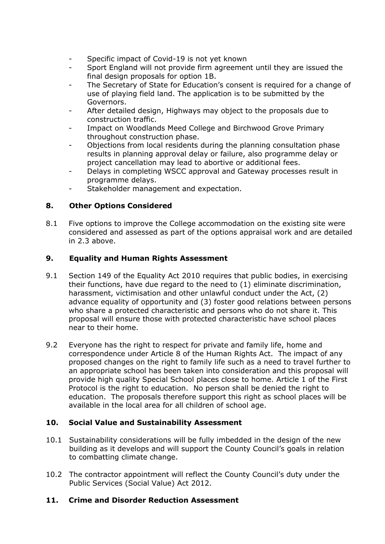- Specific impact of Covid-19 is not yet known
- Sport England will not provide firm agreement until they are issued the final design proposals for option 1B.
- The Secretary of State for Education's consent is required for a change of use of playing field land. The application is to be submitted by the Governors.
- After detailed design, Highways may object to the proposals due to construction traffic.
- Impact on Woodlands Meed College and Birchwood Grove Primary throughout construction phase.
- Objections from local residents during the planning consultation phase results in planning approval delay or failure, also programme delay or project cancellation may lead to abortive or additional fees.
- Delays in completing WSCC approval and Gateway processes result in programme delays.
- Stakeholder management and expectation.

### **8. Other Options Considered**

8.1 Five options to improve the College accommodation on the existing site were considered and assessed as part of the options appraisal work and are detailed in 2.3 above.

### **9. Equality and Human Rights Assessment**

- 9.1 Section 149 of the Equality Act 2010 requires that public bodies, in exercising their functions, have due regard to the need to (1) eliminate discrimination, harassment, victimisation and other unlawful conduct under the Act, (2) advance equality of opportunity and (3) foster good relations between persons who share a protected characteristic and persons who do not share it. This proposal will ensure those with protected characteristic have school places near to their home.
- 9.2 Everyone has the right to respect for private and family life, home and correspondence under Article 8 of the Human Rights Act. The impact of any proposed changes on the right to family life such as a need to travel further to an appropriate school has been taken into consideration and this proposal will provide high quality Special School places close to home. Article 1 of the First Protocol is the right to education. No person shall be denied the right to education. The proposals therefore support this right as school places will be available in the local area for all children of school age.

#### **10. Social Value and Sustainability Assessment**

- 10.1 Sustainability considerations will be fully imbedded in the design of the new building as it develops and will support the County Council's goals in relation to combatting climate change.
- 10.2 The contractor appointment will reflect the County Council's duty under the Public Services (Social Value) Act 2012.

#### **11. Crime and Disorder Reduction Assessment**